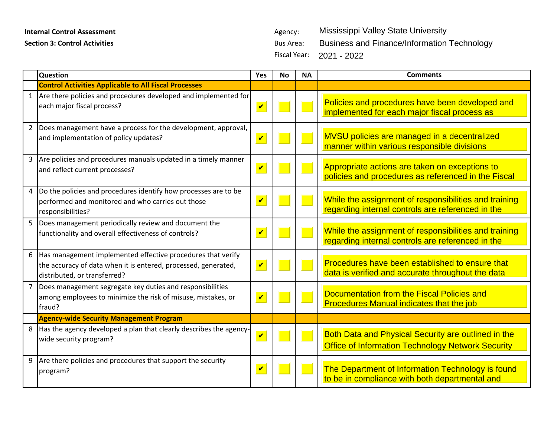## **Internal Control Assessment Agency:** Agency:

**Section 3: Control Activities Bus Area: Bus Area: Bus Area: Bus Area:** 

|                | Question                                                                                                                                                        | Yes                        | <b>No</b> | <b>NA</b> | <b>Comments</b>                                                                                                 |
|----------------|-----------------------------------------------------------------------------------------------------------------------------------------------------------------|----------------------------|-----------|-----------|-----------------------------------------------------------------------------------------------------------------|
|                | <b>Control Activities Applicable to All Fiscal Processes</b>                                                                                                    |                            |           |           |                                                                                                                 |
|                | 1 Are there policies and procedures developed and implemented for<br>each major fiscal process?                                                                 | $\boldsymbol{\mathcal{U}}$ |           |           | Policies and procedures have been developed and<br>implemented for each major fiscal process as                 |
| $\overline{2}$ | Does management have a process for the development, approval,<br>and implementation of policy updates?                                                          | $\overline{\mathbf{v}}$    |           |           | MVSU policies are managed in a decentralized<br>manner within various responsible divisions                     |
|                | 3 Are policies and procedures manuals updated in a timely manner<br>and reflect current processes?                                                              | $\overline{\mathbf{v}}$    |           |           | Appropriate actions are taken on exceptions to<br>policies and procedures as referenced in the Fiscal           |
| $\overline{4}$ | Do the policies and procedures identify how processes are to be<br>performed and monitored and who carries out those<br>responsibilities?                       | $\overline{\mathbf{v}}$    |           |           | While the assignment of responsibilities and training<br>regarding internal controls are referenced in the      |
|                | 5   Does management periodically review and document the<br>functionality and overall effectiveness of controls?                                                | $\boldsymbol{\mathcal{U}}$ |           |           | While the assignment of responsibilities and training<br>regarding internal controls are referenced in the      |
|                | 6 Has management implemented effective procedures that verify<br>the accuracy of data when it is entered, processed, generated,<br>distributed, or transferred? | $\overline{\mathbf{v}}$    |           |           | Procedures have been established to ensure that<br>data is verified and accurate throughout the data            |
|                | Does management segregate key duties and responsibilities<br>among employees to minimize the risk of misuse, mistakes, or<br>fraud?                             | $\boldsymbol{\mathcal{U}}$ |           |           | Documentation from the Fiscal Policies and<br><b>Procedures Manual indicates that the job</b>                   |
|                | <b>Agency-wide Security Management Program</b>                                                                                                                  |                            |           |           |                                                                                                                 |
|                | 8 Has the agency developed a plan that clearly describes the agency-<br>wide security program?                                                                  | $\overline{\mathbf{v}}$    |           |           | Both Data and Physical Security are outlined in the<br><b>Office of Information Technology Network Security</b> |
| 9              | Are there policies and procedures that support the security<br>program?                                                                                         | $\overline{\mathbf{v}}$    |           |           | The Department of Information Technology is found<br>to be in compliance with both departmental and             |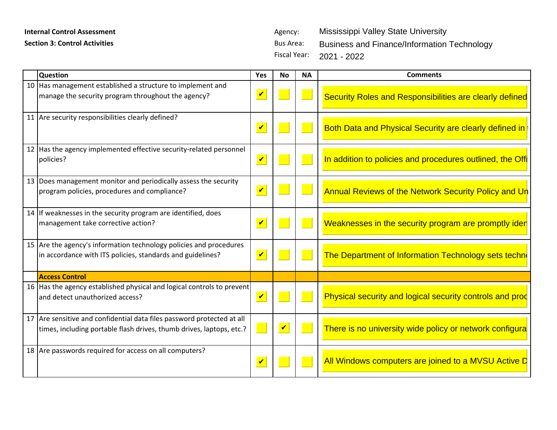## **Internal Control Assessment** Agency:

**Section 3: Control Activities Bus Area: Bus Area: Bus Area:** 

| Question                                                               | No   NA   | <b>Comments</b>                                                         |
|------------------------------------------------------------------------|-----------|-------------------------------------------------------------------------|
| 10 Has management established a structure to implement and             | ————————— |                                                                         |
| manage the security program throughout the agency?                     |           | Security Roles and Responsibilities are clearly defined                 |
|                                                                        |           |                                                                         |
| I Are security responsibilities clearly defined?                       |           |                                                                         |
|                                                                        |           | │ <mark>Both Data and Physical Security are clearly defined in</mark> │ |
|                                                                        |           |                                                                         |
| '2   Has the agency implemented effective security-related personnel   |           |                                                                         |
| policies?                                                              |           |                                                                         |
|                                                                        |           | In addition to policies and procedures outlined, the C                  |
|                                                                        |           |                                                                         |
| Does management monitor and periodically assess the security           |           |                                                                         |
| program policies, procedures and compliance?                           |           | Annual Reviews of the Network Security Policy and Un                    |
|                                                                        |           |                                                                         |
| If weaknesses in the security program are identified, does             |           |                                                                         |
| management take corrective action?                                     |           | Weaknesses in the security program are promptly ider                    |
|                                                                        |           |                                                                         |
| $5$ Are the agency's information technology policies and procedures    |           |                                                                         |
| in accordance with ITS policies, standards and guidelines?             |           |                                                                         |
|                                                                        |           | he Department of Information Technology sets techn <mark>e</mark>       |
|                                                                        |           |                                                                         |
| <b>Access Control</b>                                                  |           |                                                                         |
| 16 Has the agency established physical and logical controls to prevent |           |                                                                         |
| and detect unauthorized access?                                        |           | Physical security and logical security controls and proc                |
|                                                                        |           |                                                                         |
| Are sensitive and confidential data files password protected at all    |           |                                                                         |
| times, including portable flash drives, thumb drives, laptops, etc.    |           | There is no university wide policy or network configura $\vert\vert$    |
|                                                                        |           |                                                                         |
|                                                                        |           |                                                                         |
| 18 Are passwords required for access on all computers?                 |           |                                                                         |
|                                                                        |           | All Windows computers are joined to a MVSU Active D                     |
|                                                                        |           |                                                                         |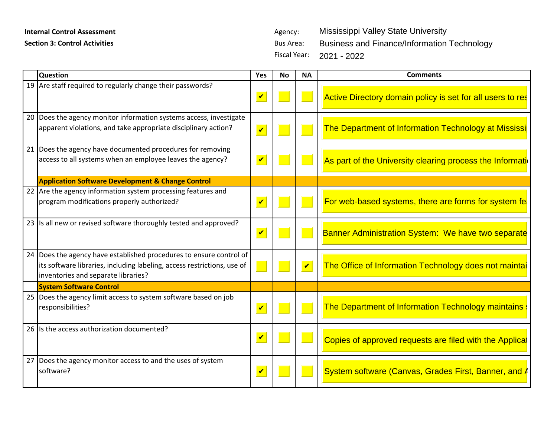## **Internal Control Assessment Agency:** Agency:

**Section 3: Control Activities Bus Area: Bus Area: Bus Area:** 

|                                                                                        |                                   | <b>Comments</b>                                                                                                                                                                                                                                                                                                                                                                                                                                                        |
|----------------------------------------------------------------------------------------|-----------------------------------|------------------------------------------------------------------------------------------------------------------------------------------------------------------------------------------------------------------------------------------------------------------------------------------------------------------------------------------------------------------------------------------------------------------------------------------------------------------------|
| <b>Question</b><br>19 Are staff required to regularly change their passwords?          | <del>▎▄▁▔▔▁▐▏▔▁▁▔▁▊▀▁▁▁▁▐▔▔</del> |                                                                                                                                                                                                                                                                                                                                                                                                                                                                        |
|                                                                                        |                                   | Active Directory domain policy is set for all users to res                                                                                                                                                                                                                                                                                                                                                                                                             |
|                                                                                        |                                   |                                                                                                                                                                                                                                                                                                                                                                                                                                                                        |
| $\sqrt{\frac{1}{100}}$ Does the agency monitor information systems access, investigate |                                   |                                                                                                                                                                                                                                                                                                                                                                                                                                                                        |
| apparent violations, and take appropriate disciplinary action?                         |                                   | ⊿ <mark>partment of Information Technology at Mississi</mark> │                                                                                                                                                                                                                                                                                                                                                                                                        |
|                                                                                        |                                   |                                                                                                                                                                                                                                                                                                                                                                                                                                                                        |
| Does the agency have documented procedures for removing                                |                                   |                                                                                                                                                                                                                                                                                                                                                                                                                                                                        |
| access to all systems when an employee leaves the agency?                              |                                   | As part of the University clearing process the Information                                                                                                                                                                                                                                                                                                                                                                                                             |
|                                                                                        |                                   |                                                                                                                                                                                                                                                                                                                                                                                                                                                                        |
| <b>Application Software Development &amp; Change Control</b>                           |                                   |                                                                                                                                                                                                                                                                                                                                                                                                                                                                        |
| $22$ Are the agency information system processing features and                         |                                   |                                                                                                                                                                                                                                                                                                                                                                                                                                                                        |
| program modifications properly authorized?                                             |                                   | For web-based systems, there are forms for system fe                                                                                                                                                                                                                                                                                                                                                                                                                   |
|                                                                                        |                                   |                                                                                                                                                                                                                                                                                                                                                                                                                                                                        |
| Is all new or revised software thoroughly tested and approved?                         |                                   |                                                                                                                                                                                                                                                                                                                                                                                                                                                                        |
|                                                                                        |                                   | <b>Banner Administration System: We have two separate</b>                                                                                                                                                                                                                                                                                                                                                                                                              |
|                                                                                        |                                   |                                                                                                                                                                                                                                                                                                                                                                                                                                                                        |
| $24$ Does the agency have established procedures to ensure control of $\vert$          |                                   |                                                                                                                                                                                                                                                                                                                                                                                                                                                                        |
| its software libraries, including labeling, access restrictions, use of $\ \cdot\ $    |                                   | $\begin{array}{ c c c }\hline \multicolumn{1}{ }{\textbf{I}} & \multicolumn{1}{ }{\textbf{I}} & \multicolumn{1}{ }{\textbf{I}} & \multicolumn{1}{ }{\textbf{I}} & \multicolumn{1}{ }{\textbf{I}} & \multicolumn{1}{ }{\textbf{I}} & \multicolumn{1}{ }{\textbf{I}} & \multicolumn{1}{ }{\textbf{I}} & \multicolumn{1}{ }{\textbf{I}} & \multicolumn{1}{ }{\textbf{I}} & \multicolumn{1}{ }{\textbf{I}} & \multicolumn{1}{ }{\textbf{I}} & \multicolumn{1}{ }{\textbf{$ |
|                                                                                        |                                   |                                                                                                                                                                                                                                                                                                                                                                                                                                                                        |
| inventories and separate libraries?                                                    |                                   |                                                                                                                                                                                                                                                                                                                                                                                                                                                                        |
| <b>ystem Software Control</b>                                                          |                                   |                                                                                                                                                                                                                                                                                                                                                                                                                                                                        |
| Does the agency limit access to system software based on job                           |                                   |                                                                                                                                                                                                                                                                                                                                                                                                                                                                        |
| responsibilities?                                                                      |                                   | The Department of Information Technology maintains :                                                                                                                                                                                                                                                                                                                                                                                                                   |
|                                                                                        |                                   |                                                                                                                                                                                                                                                                                                                                                                                                                                                                        |
| Is the access authorization documented?                                                |                                   |                                                                                                                                                                                                                                                                                                                                                                                                                                                                        |
|                                                                                        |                                   | <b>V</b> Copies of approved requests are filed with the Applical                                                                                                                                                                                                                                                                                                                                                                                                       |
|                                                                                        |                                   |                                                                                                                                                                                                                                                                                                                                                                                                                                                                        |
| Does the agency monitor access to and the uses of system                               |                                   |                                                                                                                                                                                                                                                                                                                                                                                                                                                                        |
| software?                                                                              |                                   | System software (Canvas, Grades First, Banner, and A                                                                                                                                                                                                                                                                                                                                                                                                                   |
|                                                                                        |                                   |                                                                                                                                                                                                                                                                                                                                                                                                                                                                        |
|                                                                                        |                                   |                                                                                                                                                                                                                                                                                                                                                                                                                                                                        |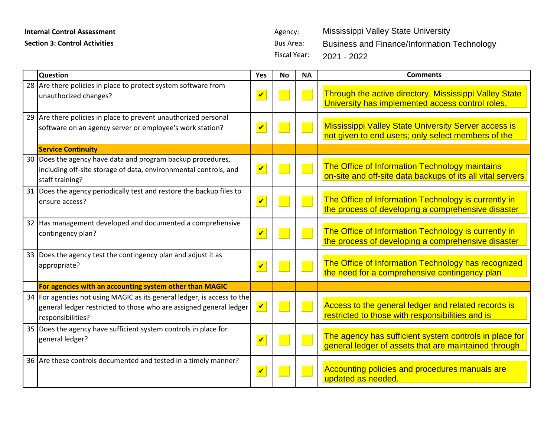## **Internal Control Assessment** Agency:

Fiscal Year:

| <b>Internal Control Assessment</b>   |                                                                                                                                                                      |                         | Agency:                                 |           | Mississippi Valley State University                                                                               |
|--------------------------------------|----------------------------------------------------------------------------------------------------------------------------------------------------------------------|-------------------------|-----------------------------------------|-----------|-------------------------------------------------------------------------------------------------------------------|
| <b>Section 3: Control Activities</b> |                                                                                                                                                                      |                         | <b>Bus Area:</b><br><b>Fiscal Year:</b> |           | <b>Business and Finance/Information Technology</b><br>2021 - 2022                                                 |
|                                      | <b>Question</b>                                                                                                                                                      | Yes                     | <b>No</b>                               | <b>NA</b> | <b>Comments</b>                                                                                                   |
|                                      | 28 Are there policies in place to protect system software from<br>unauthorized changes?                                                                              | $\overline{\mathbf{v}}$ |                                         |           | Through the active directory, Mississippi Valley State<br>University has implemented access control roles.        |
|                                      | 29 Are there policies in place to prevent unauthorized personal<br>software on an agency server or employee's work station?                                          | $\overline{\mathbf{v}}$ |                                         |           | <b>Mississippi Valley State University Server access is</b><br>not given to end users; only select members of the |
|                                      | <b>Service Continuity</b>                                                                                                                                            |                         |                                         |           |                                                                                                                   |
| 30                                   | Does the agency have data and program backup procedures,<br>including off-site storage of data, environnmental controls, and<br>staff training?                      | $\blacktriangledown$    |                                         |           | The Office of Information Technology maintains<br>on-site and off-site data backups of its all vital servers      |
|                                      | 31 Does the agency periodically test and restore the backup files to<br>ensure access?                                                                               | $\blacktriangledown$    |                                         |           | The Office of Information Technology is currently in<br>the process of developing a comprehensive disaster        |
|                                      | 32 Has management developed and documented a comprehensive<br>contingency plan?                                                                                      | $\overline{\mathbf{v}}$ |                                         | и.        | The Office of Information Technology is currently in<br>the process of developing a comprehensive disaster        |
|                                      | 33 Does the agency test the contingency plan and adjust it as<br>appropriate?                                                                                        | $\overline{\mathbf{v}}$ |                                         |           | The Office of Information Technology has recognized<br>the need for a comprehensive contingency plan              |
|                                      | For agencies with an accounting system other than MAGIC                                                                                                              |                         |                                         |           |                                                                                                                   |
|                                      | 34   For agencies not using MAGIC as its general ledger, is access to the<br>general ledger restricted to those who are assigned general ledger<br>responsibilities? | $\blacktriangledown$    |                                         |           | Access to the general ledger and related records is<br>restricted to those with responsibilities and is           |
|                                      | 35 Does the agency have sufficient system controls in place for<br>general ledger?                                                                                   | $\overline{\mathbf{v}}$ |                                         |           | The agency has sufficient system controls in place for<br>general ledger of assets that are maintained through    |
|                                      | 36 Are these controls documented and tested in a timely manner?                                                                                                      | $\blacktriangledown$    |                                         |           | Accounting policies and procedures manuals are<br>updated as needed.                                              |